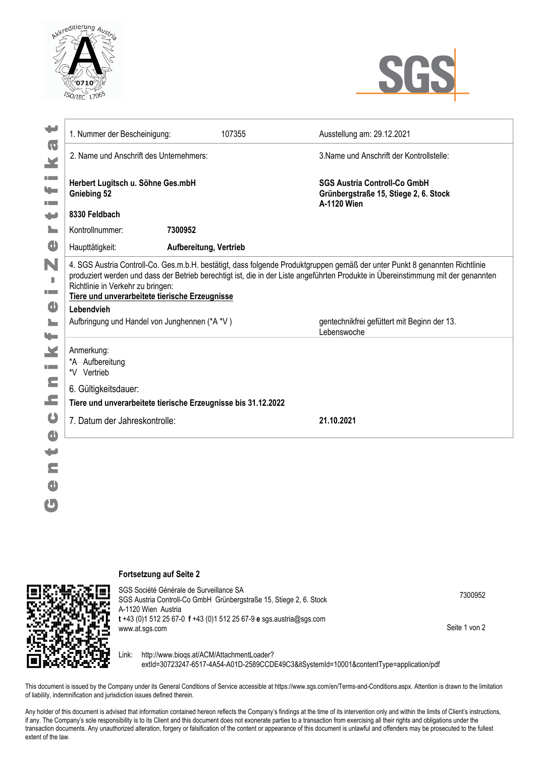



| 1. Nummer der Bescheinigung:                                                                | 107355                                                        | Ausstellung am: 29.12.2021                                                                                                                                                                                                                                       |
|---------------------------------------------------------------------------------------------|---------------------------------------------------------------|------------------------------------------------------------------------------------------------------------------------------------------------------------------------------------------------------------------------------------------------------------------|
| 2. Name und Anschrift des Unternehmers:<br>Herbert Lugitsch u. Söhne Ges.mbH<br>Gniebing 52 |                                                               | 3. Name und Anschrift der Kontrollstelle:<br><b>SGS Austria Controll-Co GmbH</b><br>Grünbergstraße 15, Stiege 2, 6. Stock<br>A-1120 Wien                                                                                                                         |
|                                                                                             |                                                               |                                                                                                                                                                                                                                                                  |
| Kontrollnummer:                                                                             | 7300952                                                       |                                                                                                                                                                                                                                                                  |
|                                                                                             | Aufbereitung, Vertrieb                                        |                                                                                                                                                                                                                                                                  |
| Haupttätigkeit:<br>Richtlinie in Verkehr zu bringen:                                        | Tiere und unverarbeitete tierische Erzeugnisse                | 4. SGS Austria Controll-Co. Ges.m.b.H. bestätigt, dass folgende Produktgruppen gemäß der unter Punkt 8 genannten Richtlinie<br>produziert werden und dass der Betrieb berechtigt ist, die in der Liste angeführten Produkte in Übereinstimmung mit der genannten |
| Lebendvieh                                                                                  | Aufbringung und Handel von Junghennen (*A *V)                 | gentechnikfrei gefüttert mit Beginn der 13.<br>Lebenswoche                                                                                                                                                                                                       |
| Anmerkung:<br>*A Aufbereitung<br>*V Vertrieb                                                |                                                               |                                                                                                                                                                                                                                                                  |
| 6. Gültigkeitsdauer:                                                                        |                                                               |                                                                                                                                                                                                                                                                  |
|                                                                                             | Tiere und unverarbeitete tierische Erzeugnisse bis 31.12.2022 |                                                                                                                                                                                                                                                                  |

**Fortsetzung auf Seite 2**



SGS Société Générale de Surveillance SA SGS Austria Controll-Co GmbH Grünbergstraße 15, Stiege 2, 6. Stock A-1120 Wien Austria **t** +43 (0)1 512 25 67-0 **f** +43 (0)1 512 25 67-9 **e** sgs.austria@sgs.com www.at.sgs.com 7300952 Seite 1 von 2

Link: http://www.bioqs.at/ACM/AttachmentLoader? extId=30723247-6517-4A54-A01D-2589CCDE49C3&itSystemId=10001&contentType=application/pdf

This document is issued by the Company under its General Conditions of Service accessible at https://www.sgs.com/en/Terms-and-Conditions.aspx. Attention is drawn to the limitation of liability, indemnification and jurisdiction issues defined therein.

Any holder of this document is advised that information contained hereon reflects the Company's findings at the time of its intervention only and within the limits of Client's instructions, if any. The Company's sole responsibility is to its Client and this document does not exonerate parties to a transaction from exercising all their rights and obligations under the transaction documents. Any unauthorized alteration, forgery or falsification of the content or appearance of this document is unlawful and offenders may be prosecuted to the fullest extent of the law.